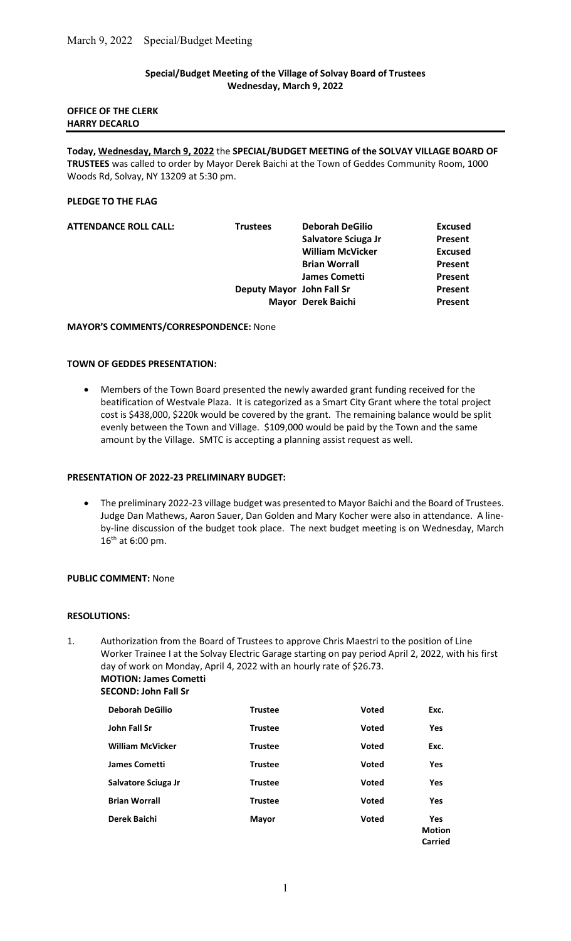# Special/Budget Meeting of the Village of Solvay Board of Trustees Wednesday, March 9, 2022

### OFFICE OF THE CLERK HARRY DECARLO

Today, Wednesday, March 9, 2022 the SPECIAL/BUDGET MEETING of the SOLVAY VILLAGE BOARD OF TRUSTEES was called to order by Mayor Derek Baichi at the Town of Geddes Community Room, 1000 Woods Rd, Solvay, NY 13209 at 5:30 pm.

### PLEDGE TO THE FLAG

| <b>ATTENDANCE ROLL CALL:</b> | <b>Trustees</b>           | <b>Deborah DeGilio</b>  | <b>Excused</b> |
|------------------------------|---------------------------|-------------------------|----------------|
|                              |                           | Salvatore Sciuga Jr     | Present        |
|                              |                           | <b>William McVicker</b> | <b>Excused</b> |
|                              |                           | <b>Brian Worrall</b>    | Present        |
|                              |                           | <b>James Cometti</b>    | <b>Present</b> |
|                              | Deputy Mayor John Fall Sr |                         | Present        |
|                              |                           | Mayor Derek Baichi      | Present        |

#### MAYOR'S COMMENTS/CORRESPONDENCE: None

#### TOWN OF GEDDES PRESENTATION:

 Members of the Town Board presented the newly awarded grant funding received for the beatification of Westvale Plaza. It is categorized as a Smart City Grant where the total project cost is \$438,000, \$220k would be covered by the grant. The remaining balance would be split evenly between the Town and Village. \$109,000 would be paid by the Town and the same amount by the Village. SMTC is accepting a planning assist request as well.

### PRESENTATION OF 2022-23 PRELIMINARY BUDGET:

 The preliminary 2022-23 village budget was presented to Mayor Baichi and the Board of Trustees. Judge Dan Mathews, Aaron Sauer, Dan Golden and Mary Kocher were also in attendance. A lineby-line discussion of the budget took place. The next budget meeting is on Wednesday, March 16th at 6:00 pm.

# PUBLIC COMMENT: None

#### RESOLUTIONS:

1. Authorization from the Board of Trustees to approve Chris Maestri to the position of Line Worker Trainee I at the Solvay Electric Garage starting on pay period April 2, 2022, with his first day of work on Monday, April 4, 2022 with an hourly rate of \$26.73. MOTION: James Cometti

SECOND: John Fall Sr

| <b>Deborah DeGilio</b>  | <b>Trustee</b> | <b>Voted</b> | Exc.                                   |
|-------------------------|----------------|--------------|----------------------------------------|
| John Fall Sr            | <b>Trustee</b> | <b>Voted</b> | <b>Yes</b>                             |
| <b>William McVicker</b> | <b>Trustee</b> | <b>Voted</b> | Exc.                                   |
| <b>James Cometti</b>    | <b>Trustee</b> | Voted        | Yes                                    |
| Salvatore Sciuga Jr     | <b>Trustee</b> | <b>Voted</b> | Yes                                    |
| <b>Brian Worrall</b>    | <b>Trustee</b> | <b>Voted</b> | Yes                                    |
| Derek Baichi            | <b>Mayor</b>   | <b>Voted</b> | <b>Yes</b><br><b>Motion</b><br>Carried |